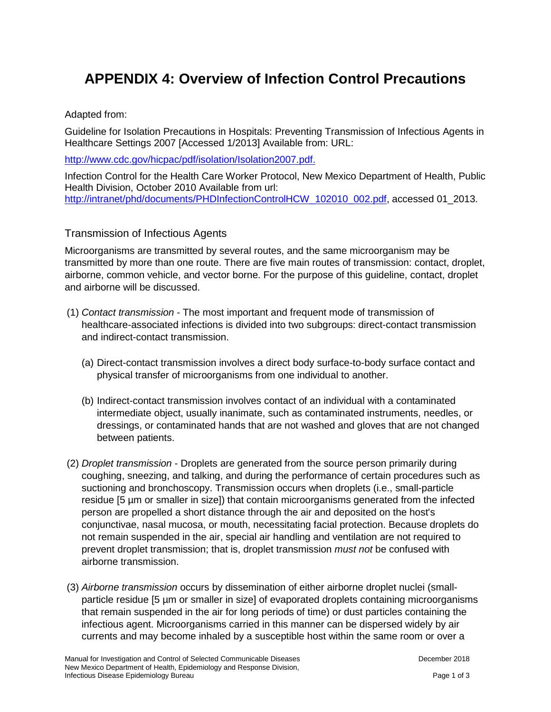# **APPENDIX 4: Overview of Infection Control Precautions**

#### Adapted from:

Guideline for Isolation Precautions in Hospitals: Preventing Transmission of Infectious Agents in Healthcare Settings 2007 [Accessed 1/2013] Available from: URL:

[http://www.cdc.gov/hicpac/pdf/isolation/Isolation2007.pdf.](http://www.cdc.gov/hicpac/pdf/isolation/Isolation2007.pdf)

Infection Control for the Health Care Worker Protocol, New Mexico Department of Health, Public Health Division, October 2010 Available from url: [http://intranet/phd/documents/PHDInfectionControlHCW\\_102010\\_002.pdf,](http://intranet/phd/documents/PHDInfectionControlHCW_102010_002.pdf) accessed 01\_2013.

### Transmission of Infectious Agents

Microorganisms are transmitted by several routes, and the same microorganism may be transmitted by more than one route. There are five main routes of transmission: contact, droplet, airborne, common vehicle, and vector borne. For the purpose of this guideline, contact, droplet and airborne will be discussed.

- (1) *Contact transmission* The most important and frequent mode of transmission of healthcare-associated infections is divided into two subgroups: direct-contact transmission and indirect-contact transmission.
	- (a) Direct-contact transmission involves a direct body surface-to-body surface contact and physical transfer of microorganisms from one individual to another.
	- (b) Indirect-contact transmission involves contact of an individual with a contaminated intermediate object, usually inanimate, such as contaminated instruments, needles, or dressings, or contaminated hands that are not washed and gloves that are not changed between patients.
- (2) *Droplet transmission* Droplets are generated from the source person primarily during coughing, sneezing, and talking, and during the performance of certain procedures such as suctioning and bronchoscopy. Transmission occurs when droplets (i.e., small-particle residue [5 µm or smaller in size]) that contain microorganisms generated from the infected person are propelled a short distance through the air and deposited on the host's conjunctivae, nasal mucosa, or mouth, necessitating facial protection. Because droplets do not remain suspended in the air, special air handling and ventilation are not required to prevent droplet transmission; that is, droplet transmission *must not* be confused with airborne transmission.
- (3) *Airborne transmission* occurs by dissemination of either airborne droplet nuclei (smallparticle residue [5 µm or smaller in size] of evaporated droplets containing microorganisms that remain suspended in the air for long periods of time) or dust particles containing the infectious agent. Microorganisms carried in this manner can be dispersed widely by air currents and may become inhaled by a susceptible host within the same room or over a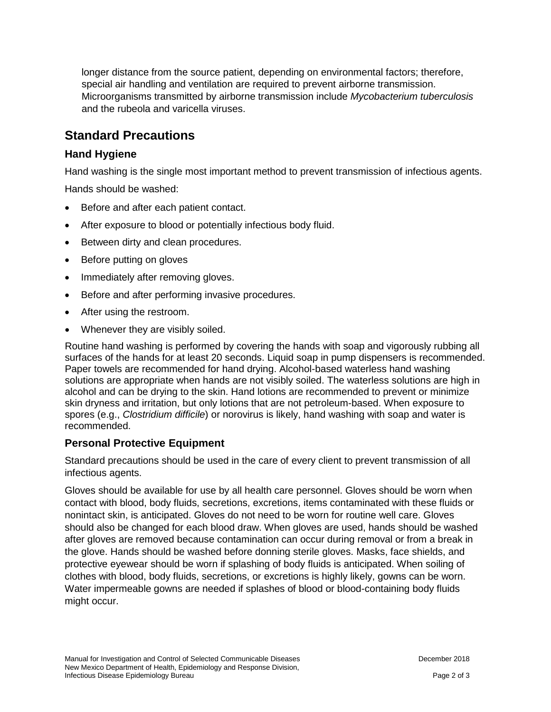longer distance from the source patient, depending on environmental factors; therefore, special air handling and ventilation are required to prevent airborne transmission. Microorganisms transmitted by airborne transmission include *Mycobacterium tuberculosis* and the rubeola and varicella viruses.

# **Standard Precautions**

## **Hand Hygiene**

Hand washing is the single most important method to prevent transmission of infectious agents.

Hands should be washed:

- Before and after each patient contact.
- After exposure to blood or potentially infectious body fluid.
- Between dirty and clean procedures.
- Before putting on gloves
- Immediately after removing gloves.
- Before and after performing invasive procedures.
- After using the restroom.
- Whenever they are visibly soiled.

Routine hand washing is performed by covering the hands with soap and vigorously rubbing all surfaces of the hands for at least 20 seconds. Liquid soap in pump dispensers is recommended. Paper towels are recommended for hand drying. Alcohol-based waterless hand washing solutions are appropriate when hands are not visibly soiled. The waterless solutions are high in alcohol and can be drying to the skin. Hand lotions are recommended to prevent or minimize skin dryness and irritation, but only lotions that are not petroleum-based. When exposure to spores (e.g., *Clostridium difficile*) or norovirus is likely, hand washing with soap and water is recommended.

### **Personal Protective Equipment**

Standard precautions should be used in the care of every client to prevent transmission of all infectious agents.

Gloves should be available for use by all health care personnel. Gloves should be worn when contact with blood, body fluids, secretions, excretions, items contaminated with these fluids or nonintact skin, is anticipated. Gloves do not need to be worn for routine well care. Gloves should also be changed for each blood draw. When gloves are used, hands should be washed after gloves are removed because contamination can occur during removal or from a break in the glove. Hands should be washed before donning sterile gloves. Masks, face shields, and protective eyewear should be worn if splashing of body fluids is anticipated. When soiling of clothes with blood, body fluids, secretions, or excretions is highly likely, gowns can be worn. Water impermeable gowns are needed if splashes of blood or blood-containing body fluids might occur.